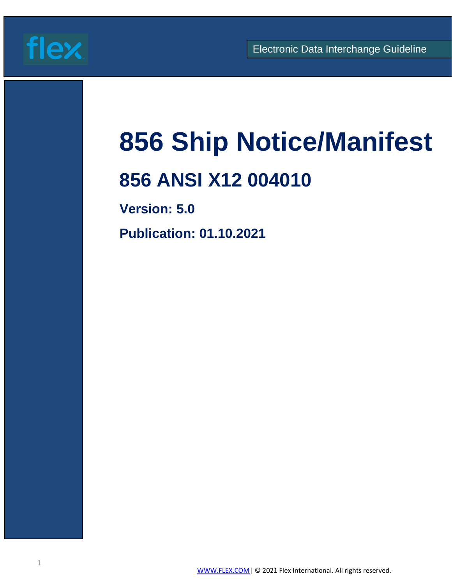

# **856 Ship Notice/Manifest**

# **856 ANSI X12 004010**

**Version: 5.0**

**Publication: 01.10.2021**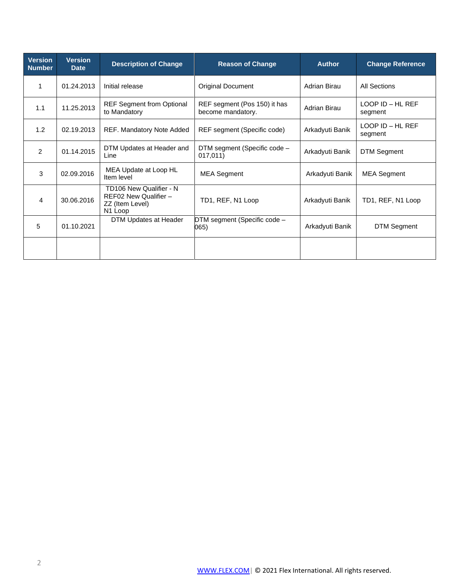| <b>Version</b><br><b>Number</b> | <b>Version</b><br><b>Date</b> | <b>Description of Change</b>                                                   | <b>Reason of Change</b>                           | <b>Author</b>   | <b>Change Reference</b>         |
|---------------------------------|-------------------------------|--------------------------------------------------------------------------------|---------------------------------------------------|-----------------|---------------------------------|
| 1                               | 01.24.2013                    | Initial release                                                                | <b>Original Document</b>                          | Adrian Birau    | All Sections                    |
| 1.1                             | 11.25.2013                    | <b>REF Segment from Optional</b><br>to Mandatory                               | REF segment (Pos 150) it has<br>become mandatory. | Adrian Birau    | $LOOP$ ID $-$ HL REF<br>segment |
| 1.2                             | 02.19.2013                    | REF. Mandatory Note Added                                                      | REF segment (Specific code)                       | Arkadyuti Banik | $LOOP$ ID $-$ HL REF<br>segment |
| 2                               | 01.14.2015                    | DTM Updates at Header and<br>Line                                              | DTM segment (Specific code -<br>017,011)          | Arkadyuti Banik | <b>DTM Segment</b>              |
| 3                               | 02.09.2016                    | MEA Update at Loop HL<br>Item level                                            | <b>MEA Segment</b>                                | Arkadyuti Banik | <b>MEA Segment</b>              |
| 4                               | 30.06.2016                    | TD106 New Qualifier - N<br>REF02 New Qualifier -<br>ZZ (Item Level)<br>N1 Loop | TD1, REF, N1 Loop                                 | Arkadyuti Banik | TD1, REF, N1 Loop               |
| 5                               | 01.10.2021                    | DTM Updates at Header                                                          | DTM segment (Specific code -<br>065)              | Arkadyuti Banik | <b>DTM Segment</b>              |
|                                 |                               |                                                                                |                                                   |                 |                                 |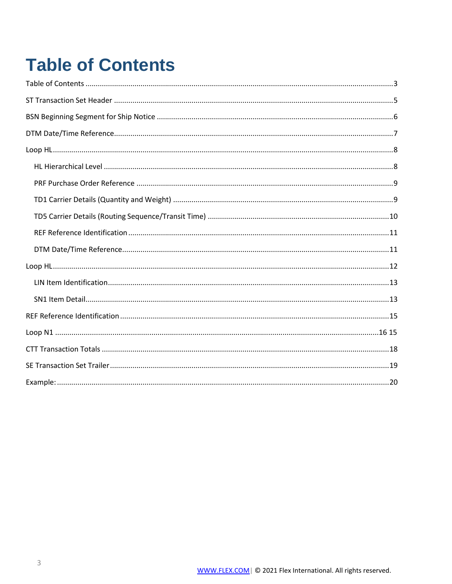# <span id="page-2-0"></span>**Table of Contents**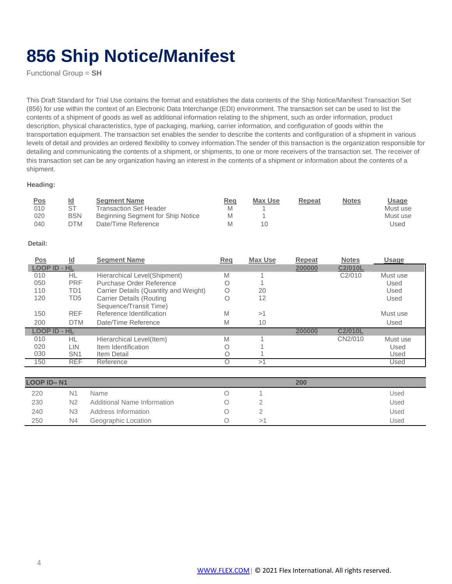# **856 Ship Notice/Manifest**

Functional Group = **SH**

This Draft Standard for Trial Use contains the format and establishes the data contents of the Ship Notice/Manifest Transaction Set (856) for use within the context of an Electronic Data Interchange (EDI) environment. The transaction set can be used to list the contents of a shipment of goods as well as additional information relating to the shipment, such as order information, product description, physical characteristics, type of packaging, marking, carrier information, and configuration of goods within the transportation equipment. The transaction set enables the sender to describe the contents and configuration of a shipment in various levels of detail and provides an ordered flexibility to convey information.The sender of this transaction is the organization responsible for detailing and communicating the contents of a shipment, or shipments, to one or more receivers of the transaction set. The receiver of this transaction set can be any organization having an interest in the contents of a shipment or information about the contents of a shipment.

### **Heading:**

| <u>Pos</u> | <u>ld</u>  | <b>Segment Name</b>               | Req | Max Use | Repeat | <b>Notes</b> | Usage    |
|------------|------------|-----------------------------------|-----|---------|--------|--------------|----------|
| 010        | ST         | Transaction Set Header            |     |         |        |              | Must use |
| 020        | <b>BSN</b> | Beginning Segment for Ship Notice |     |         |        |              | Must use |
| 040        | DTM        | Date/Time Reference               |     | 10      |        |              | Used     |

### **Detail:**

| <u>Pos</u>          | $\underline{\mathsf{Id}}$ | <b>Segment Name</b>                   | Req | <b>Max Use</b> | Repeat | <b>Notes</b>        | <b>Usage</b> |
|---------------------|---------------------------|---------------------------------------|-----|----------------|--------|---------------------|--------------|
| <b>LOOP ID - HL</b> |                           |                                       |     |                | 200000 | C2/010L             |              |
| 010                 | HL                        | Hierarchical Level(Shipment)          | M   |                |        | C <sub>2</sub> /010 | Must use     |
| 050                 | <b>PRF</b>                | Purchase Order Reference              |     |                |        |                     | Used         |
| 110                 | TD <sub>1</sub>           | Carrier Details (Quantity and Weight) | Ω   | 20             |        |                     | Used         |
| 120                 | TD <sub>5</sub>           | <b>Carrier Details (Routing</b>       |     | 12             |        |                     | Used         |
|                     |                           | Sequence/Transit Time)                |     |                |        |                     |              |
| 150                 | <b>REF</b>                | Reference Identification              | M   | >1             |        |                     | Must use     |
| 200                 | <b>DTM</b>                | Date/Time Reference                   | M   | 10             |        |                     | Used         |
| <b>LOOP ID - HL</b> |                           |                                       |     |                | 200000 | C2/010L             |              |
| 010                 | HL                        | Hierarchical Level(Item)              | M   |                |        | CN2/010             | Must use     |
| 020                 | LIN                       | Item Identification                   |     |                |        |                     | Used         |
| 030                 | SN <sub>1</sub>           | Item Detail                           |     |                |        |                     | Used         |
| 150                 | <b>REF</b>                | Reference                             | 〔〕  | >1             |        |                     | Used         |

| <b>LOOP ID-N1</b> |                |                             |  | 200 |      |
|-------------------|----------------|-----------------------------|--|-----|------|
| 220               | N1             | Name                        |  |     | Used |
| 230               | N2             | Additional Name Information |  |     | Used |
| 240               | N <sub>3</sub> | Address Information         |  |     | Used |
| 250               | N4             | Geographic Location         |  |     | Used |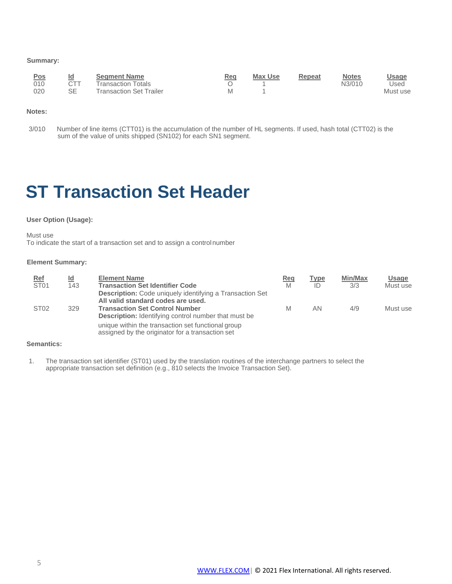### <span id="page-4-0"></span>**Summary:**

| <b>Pos</b> | <u>ld</u> | <b>Segment Name</b>       | Req | <b>Max Use</b> | Repeat | <b>Notes</b> | <u>Usage</u> |
|------------|-----------|---------------------------|-----|----------------|--------|--------------|--------------|
| 010        | CTT       | <b>Transaction Totals</b> |     |                |        | N3/010       | Used         |
| 020        | SE        | Transaction Set Trailer   |     |                |        |              | Must use     |

### **Notes:**

3/010 Number of line items (CTT01) is the accumulation of the number of HL segments. If used, hash total (CTT02) is the sum of the value of units shipped (SN102) for each SN1 segment.

# **ST Transaction Set Header**

#### **User Option (Usage):**

Must use

To indicate the start of a transaction set and to assign a controlnumber

#### **Element Summary:**

| <b>Ref</b>       | <u>ld</u> | <b>Element Name</b>                                                                                    | <b>Req</b> | <b>Type</b> | Min/Max | <b>Usage</b> |
|------------------|-----------|--------------------------------------------------------------------------------------------------------|------------|-------------|---------|--------------|
| ST <sub>01</sub> | 143       | <b>Transaction Set Identifier Code</b>                                                                 | M          | ID          | 3/3     | Must use     |
|                  |           | <b>Description:</b> Code uniquely identifying a Transaction Set                                        |            |             |         |              |
|                  |           | All valid standard codes are used.                                                                     |            |             |         |              |
| ST <sub>02</sub> | 329       | <b>Transaction Set Control Number</b>                                                                  | M          | ΑN          | 4/9     | Must use     |
|                  |           | <b>Description:</b> Identifying control number that must be                                            |            |             |         |              |
|                  |           | unique within the transaction set functional group<br>assigned by the originator for a transaction set |            |             |         |              |

#### **Semantics:**

1. The transaction set identifier (ST01) used by the translation routines of the interchange partners to select the appropriate transaction set definition (e.g., 810 selects the Invoice Transaction Set).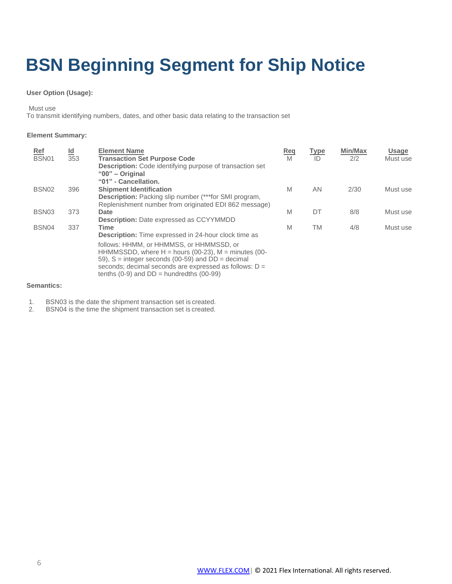# <span id="page-5-0"></span>**BSN Beginning Segment for Ship Notice**

### **User Option (Usage):**

Must use

To transmit identifying numbers, dates, and other basic data relating to the transaction set

### **Element Summary:**

| $Ref$<br><b>BSN01</b> | $\underline{\mathsf{Id}}$<br>353 | <b>Element Name</b><br><b>Transaction Set Purpose Code</b><br><b>Description:</b> Code identifying purpose of transaction set<br>"00" - Original                                                                                                                         | <u>Req</u><br>M | <b>Type</b><br>ID | Min/Max<br>2/2 | <b>Usage</b><br>Must use |
|-----------------------|----------------------------------|--------------------------------------------------------------------------------------------------------------------------------------------------------------------------------------------------------------------------------------------------------------------------|-----------------|-------------------|----------------|--------------------------|
| BSN <sub>02</sub>     | 396                              | "01" - Cancellation.<br><b>Shipment Identification</b><br><b>Description:</b> Packing slip number (***for SMI program,<br>Replenishment number from originated EDI 862 message)                                                                                          | M               | AN                | 2/30           | Must use                 |
| BSN <sub>03</sub>     | 373                              | Date<br><b>Description:</b> Date expressed as CCYYMMDD                                                                                                                                                                                                                   | M               | DT                | 8/8            | Must use                 |
| BSN04                 | 337                              | <b>Time</b><br><b>Description:</b> Time expressed in 24-hour clock time as                                                                                                                                                                                               | M               | ТM                | 4/8            | Must use                 |
|                       |                                  | follows: HHMM, or HHMMSS, or HHMMSSD, or<br>HHMMSSDD, where $H =$ hours (00-23), $M =$ minutes (00-<br>59), $S =$ integer seconds (00-59) and $DD =$ decimal<br>seconds; decimal seconds are expressed as follows: D =<br>tenths $(0-9)$ and $DD =$ hundredths $(00-99)$ |                 |                   |                |                          |

# **Semantics:**

- 1. BSN03 is the date the shipment transaction set is created.
- 2. BSN04 is the time the shipment transaction set is created.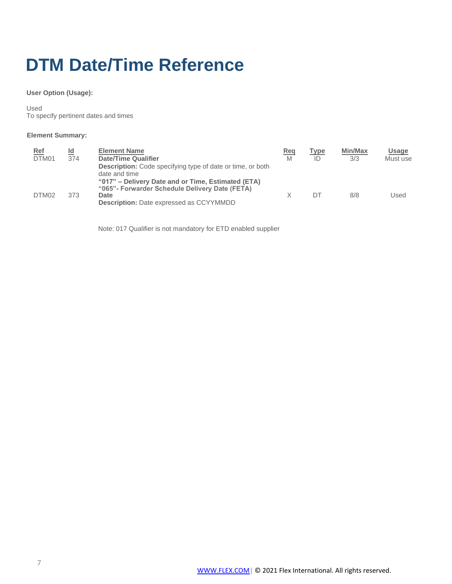# <span id="page-6-0"></span>**DTM Date/Time Reference**

**User Option (Usage):**

Used To specify pertinent dates and times

# **Element Summary:**

| <u>Ref</u><br>DTM01 | <u>ld</u><br>374 | <b>Element Name</b><br><b>Date/Time Qualifier</b><br><b>Description:</b> Code specifying type of date or time, or both<br>date and time                         | Req<br>M | Type<br>ID | <b>Min/Max</b><br>3/3 | Usage<br>Must use |
|---------------------|------------------|-----------------------------------------------------------------------------------------------------------------------------------------------------------------|----------|------------|-----------------------|-------------------|
| DTM <sub>02</sub>   | 373              | "017" – Delivery Date and or Time, Estimated (ETA)<br>"065" - Forwarder Schedule Delivery Date (FETA)<br>Date<br><b>Description:</b> Date expressed as CCYYMMDD |          | DΤ         | 8/8                   | Used              |

Note: 017 Qualifier is not mandatory for ETD enabled supplier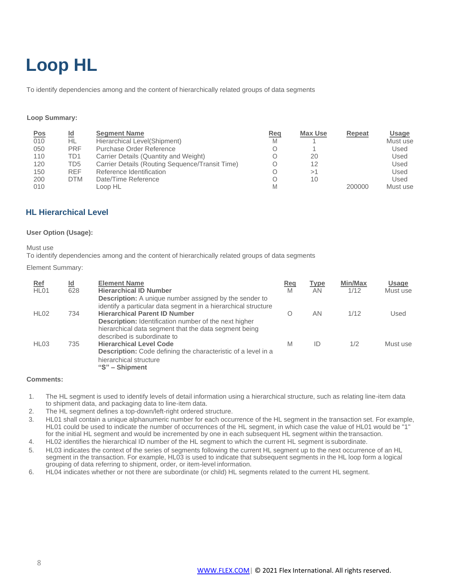# <span id="page-7-0"></span>**Loop HL**

To identify dependencies among and the content of hierarchically related groups of data segments

#### **Loop Summary:**

| <b>Pos</b> | <u>ld</u>  | <b>Segment Name</b>                             | Req | <b>Max Use</b> | Repeat | Usage    |
|------------|------------|-------------------------------------------------|-----|----------------|--------|----------|
| 010        | НL         | Hierarchical Level (Shipment)                   | M   |                |        | Must use |
| 050        | <b>PRF</b> | Purchase Order Reference                        |     |                |        | Used     |
| 110        | TD1        | Carrier Details (Quantity and Weight)           |     | 20             |        | Used     |
| 120        | TD5        | Carrier Details (Routing Sequence/Transit Time) |     | 12             |        | Used     |
| 150        | <b>REF</b> | Reference Identification                        |     | >1             |        | Used     |
| 200        | <b>DTM</b> | Date/Time Reference                             |     | 10             |        | Used     |
| 010        |            | Loop HL                                         |     |                | 200000 | Must use |

# <span id="page-7-1"></span>**HL Hierarchical Level**

#### **User Option (Usage):**

#### Must use

To identify dependencies among and the content of hierarchically related groups of data segments

#### Element Summary:

| <b>Ref</b><br>HL <sub>01</sub> | $\underline{\mathsf{Id}}$<br>628 | <b>Element Name</b><br><b>Hierarchical ID Number</b><br><b>Description:</b> A unique number assigned by the sender to                                                                                                           | <b>Req</b><br>M | <b>Type</b><br>ΑN | <b>Min/Max</b><br>1/12 | <b>Usage</b><br>Must use |
|--------------------------------|----------------------------------|---------------------------------------------------------------------------------------------------------------------------------------------------------------------------------------------------------------------------------|-----------------|-------------------|------------------------|--------------------------|
| HL02                           | 734                              | identify a particular data segment in a hierarchical structure<br><b>Hierarchical Parent ID Number</b><br><b>Description:</b> Identification number of the next higher<br>hierarchical data segment that the data segment being | O               | ΑN                | 1/12                   | Used                     |
| HL <sub>03</sub>               | 735                              | described is subordinate to<br><b>Hierarchical Level Code</b><br><b>Description:</b> Code defining the characteristic of a level in a<br>hierarchical structure<br>"S" – Shipment                                               | M               | ID                | 1/2                    | Must use                 |

#### **Comments:**

- 1. The HL segment is used to identify levels of detail information using a hierarchical structure, such as relating line-item data to shipment data, and packaging data to line-item data.
- 2. The HL segment defines a top-down/left-right ordered structure.
- 3. HL01 shall contain a unique alphanumeric number for each occurrence of the HL segment in the transaction set. For example, HL01 could be used to indicate the number of occurrences of the HL segment, in which case the value of HL01 would be "1" for the initial HL segment and would be incremented by one in each subsequent HL segment within the transaction.
- 4. HL02 identifies the hierarchical ID number of the HL segment to which the current HL segment is subordinate.
- 5. HL03 indicates the context of the series of segments following the current HL segment up to the next occurrence of an HL segment in the transaction. For example, HL03 is used to indicate that subsequent segments in the HL loop form a logical grouping of data referring to shipment, order, or item-level information.
- 6. HL04 indicates whether or not there are subordinate (or child) HL segments related to the current HL segment.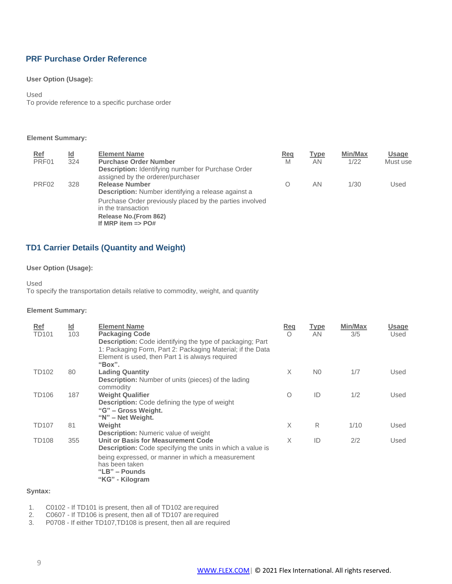# <span id="page-8-0"></span>**PRF Purchase Order Reference**

### **User Option (Usage):**

#### Used

To provide reference to a specific purchase order

#### **Element Summary:**

| <b>Ref</b>        | <u>ld</u> | <b>Element Name</b>                                                                            | Req | <b>Type</b> | Min/Max | <b>Usage</b> |
|-------------------|-----------|------------------------------------------------------------------------------------------------|-----|-------------|---------|--------------|
| PRF01             | 324       | <b>Purchase Order Number</b>                                                                   | M   | ΑN          | 1/22    | Must use     |
|                   |           | <b>Description:</b> Identifying number for Purchase Order<br>assigned by the orderer/purchaser |     |             |         |              |
| PRF <sub>02</sub> | 328       | <b>Release Number</b>                                                                          | Ο   | AN          | 1/30    | Used         |
|                   |           | <b>Description:</b> Number identifying a release against a                                     |     |             |         |              |
|                   |           | Purchase Order previously placed by the parties involved<br>in the transaction                 |     |             |         |              |
|                   |           | Release No.(From 862)<br>If MRP item $\equiv$ PO#                                              |     |             |         |              |

# <span id="page-8-1"></span>**TD1 Carrier Details (Quantity and Weight)**

# **User Option (Usage):**

Used

To specify the transportation details relative to commodity, weight, and quantity

#### **Element Summary:**

| Ref<br><b>TD101</b> | <u>ld</u><br>103 | <b>Element Name</b><br><b>Packaging Code</b><br><b>Description:</b> Code identifying the type of packaging; Part<br>1: Packaging Form, Part 2: Packaging Material; if the Data<br>Element is used, then Part 1 is always required<br>"Box". | Req<br>$\circ$ | <b>Type</b><br><b>AN</b> | <b>Min/Max</b><br>3/5 | Usage<br>Used |
|---------------------|------------------|---------------------------------------------------------------------------------------------------------------------------------------------------------------------------------------------------------------------------------------------|----------------|--------------------------|-----------------------|---------------|
| <b>TD102</b>        | 80               | <b>Lading Quantity</b><br><b>Description:</b> Number of units (pieces) of the lading<br>commodity                                                                                                                                           | X              | N <sub>0</sub>           | 1/7                   | Used          |
| TD106               | 187              | <b>Weight Qualifier</b><br><b>Description:</b> Code defining the type of weight<br>"G" - Gross Weight.<br>"N" – Net Weight.                                                                                                                 | Ο              | ID                       | 1/2                   | Used          |
| <b>TD107</b>        | 81               | Weight<br><b>Description:</b> Numeric value of weight                                                                                                                                                                                       | X              | R                        | 1/10                  | Used          |
| <b>TD108</b>        | 355              | Unit or Basis for Measurement Code<br><b>Description:</b> Code specifying the units in which a value is                                                                                                                                     | X              | ID                       | 2/2                   | Used          |
|                     |                  | being expressed, or manner in which a measurement<br>has been taken<br>"LB" – Pounds<br>"KG" - Kilogram                                                                                                                                     |                |                          |                       |               |

### **Syntax:**

1. C0102 - If TD101 is present, then all of TD102 are required<br>2. C0607 - If TD106 is present, then all of TD107 are required

2. C0607 - If TD106 is present, then all of TD107 are required<br>3. P0708 - If either TD107, TD108 is present, then all are required

P0708 - If either TD107,TD108 is present, then all are required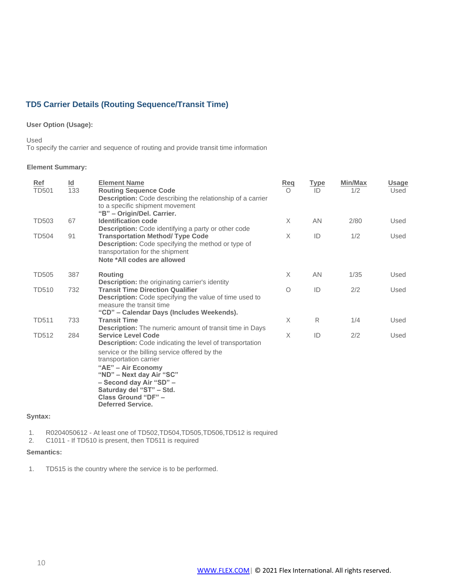# <span id="page-9-0"></span>**TD5 Carrier Details (Routing Sequence/Transit Time)**

### **User Option (Usage):**

#### Used

To specify the carrier and sequence of routing and provide transit time information

#### **Element Summary:**

| Ref<br><b>TD501</b> | $\underline{\mathsf{Id}}$<br>133 | <b>Element Name</b><br><b>Routing Sequence Code</b><br><b>Description:</b> Code describing the relationship of a carrier<br>to a specific shipment movement<br>"B" - Origin/Del. Carrier.                                                                                                                                           | <b>Req</b><br>$\Omega$ | <b>Type</b><br>ID | <b>Min/Max</b><br>1/2 | <b>Usage</b><br>Used |
|---------------------|----------------------------------|-------------------------------------------------------------------------------------------------------------------------------------------------------------------------------------------------------------------------------------------------------------------------------------------------------------------------------------|------------------------|-------------------|-----------------------|----------------------|
| <b>TD503</b>        | 67                               | <b>Identification code</b><br>Description: Code identifying a party or other code                                                                                                                                                                                                                                                   | X                      | AN                | 2/80                  | Used                 |
| <b>TD504</b>        | 91                               | <b>Transportation Method/ Type Code</b><br>Description: Code specifying the method or type of<br>transportation for the shipment<br>Note *All codes are allowed                                                                                                                                                                     | X                      | ID                | 1/2                   | Used                 |
| <b>TD505</b>        | 387                              | <b>Routing</b><br><b>Description:</b> the originating carrier's identity                                                                                                                                                                                                                                                            | $\times$               | AN                | 1/35                  | Used                 |
| <b>TD510</b>        | 732                              | <b>Transit Time Direction Qualifier</b><br>Description: Code specifying the value of time used to<br>measure the transit time<br>"CD" - Calendar Days (Includes Weekends).                                                                                                                                                          | $\circ$                | ID                | 2/2                   | Used                 |
| <b>TD511</b>        | 733                              | <b>Transit Time</b><br><b>Description:</b> The numeric amount of transit time in Days                                                                                                                                                                                                                                               | X                      | R                 | 1/4                   | Used                 |
| <b>TD512</b>        | 284                              | <b>Service Level Code</b><br><b>Description:</b> Code indicating the level of transportation<br>service or the billing service offered by the<br>transportation carrier<br>"AE" - Air Economy<br>"ND" – Next day Air "SC"<br>- Second day Air "SD" -<br>Saturday del "ST" - Std.<br>Class Ground "DF" -<br><b>Deferred Service.</b> | X                      | ID                | 2/2                   | Used                 |

### **Syntax:**

1. R0204050612 - At least one of TD502, TD504, TD505, TD506, TD512 is required<br>2. C1011 - If TD510 is present, then TD511 is required

2. C1011 - If TD510 is present, then TD511 is required

# **Semantics:**

1. TD515 is the country where the service is to be performed.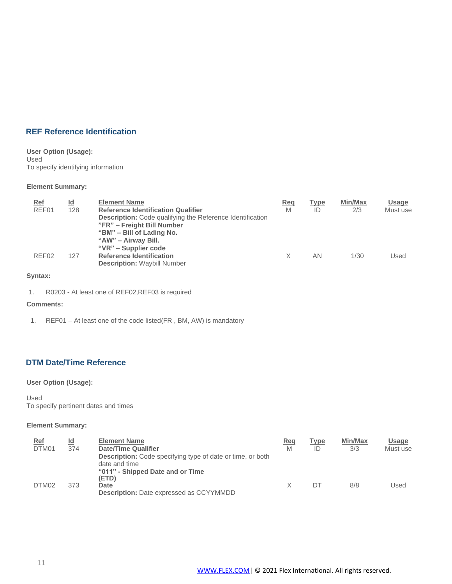# <span id="page-10-0"></span>**REF Reference Identification**

#### **User Option (Usage):** Used To specify identifying information

#### **Element Summary:**

| <b>Ref</b><br>REF01 | $\underline{\mathsf{Id}}$<br>128 | <b>Element Name</b><br><b>Reference Identification Qualifier</b><br><b>Description:</b> Code qualifying the Reference Identification<br>"FR" – Freight Bill Number<br>"BM" – Bill of Lading No.<br>"AW" - Airway Bill.<br>"VR" – Supplier code | <u>Req</u><br>M | <u>Type</u><br>ID | <b>Min/Max</b><br>2/3 | Usage<br>Must use |
|---------------------|----------------------------------|------------------------------------------------------------------------------------------------------------------------------------------------------------------------------------------------------------------------------------------------|-----------------|-------------------|-----------------------|-------------------|
| REF02               | 127                              | <b>Reference Identification</b><br><b>Description: Waybill Number</b>                                                                                                                                                                          |                 | ΑN                | 1/30                  | Used              |

# **Syntax:**

1. R0203 - At least one of REF02,REF03 is required

# **Comments:**

1. REF01 – At least one of the code listed(FR , BM, AW) is mandatory

# <span id="page-10-1"></span>**DTM Date/Time Reference**

# **User Option (Usage):**

### Used

To specify pertinent dates and times

| <u>Ref</u> | Id  | <b>Element Name</b>                                               | Req | Type | <b>Min/Max</b> | Usage    |
|------------|-----|-------------------------------------------------------------------|-----|------|----------------|----------|
| DTM01      | 374 | <b>Date/Time Qualifier</b>                                        | M   | ID   | 3/3            | Must use |
|            |     | <b>Description:</b> Code specifying type of date or time, or both |     |      |                |          |
|            |     | date and time                                                     |     |      |                |          |
|            |     | "011" - Shipped Date and or Time                                  |     |      |                |          |
|            |     | (ETD)                                                             |     |      |                |          |
| DTM02      | 373 | Date                                                              |     | DТ   | 8/8            | Used     |
|            |     | <b>Description:</b> Date expressed as CCYYMMDD                    |     |      |                |          |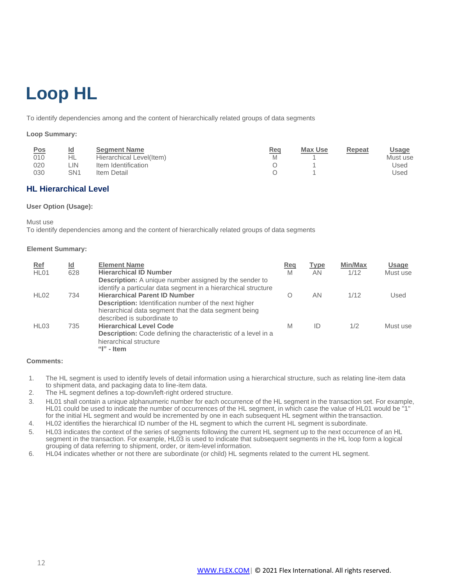# <span id="page-11-0"></span>**Loop HL**

To identify dependencies among and the content of hierarchically related groups of data segments

#### **Loop Summary:**

| <u>Pos</u> | Id  | <b>Segment Name</b>      | Rea | <b>Max Use</b> | Repeat | Usage    |
|------------|-----|--------------------------|-----|----------------|--------|----------|
| 010        | HL  | Hierarchical Level(Item) |     |                |        | Must use |
| 020        | _IN | Item Identification      |     |                |        | Used     |
| 030        | SN1 | Item Detail              |     |                |        | Used     |

# **HL Hierarchical Level**

#### **User Option (Usage):**

Must use

To identify dependencies among and the content of hierarchically related groups of data segments

#### **Element Summary:**

| <u>Ref</u><br>HL <sub>01</sub> | <u>ld</u><br>628 | <b>Element Name</b><br><b>Hierarchical ID Number</b>                                                                                                                                                                                    | <b>Req</b><br>M | <u>Type</u><br>AN | Min/Max<br>1/12 | <b>Usage</b><br>Must use |
|--------------------------------|------------------|-----------------------------------------------------------------------------------------------------------------------------------------------------------------------------------------------------------------------------------------|-----------------|-------------------|-----------------|--------------------------|
| HL <sub>02</sub>               | 734              | <b>Description:</b> A unique number assigned by the sender to<br>identify a particular data segment in a hierarchical structure<br><b>Hierarchical Parent ID Number</b><br><b>Description:</b> Identification number of the next higher | $\Omega$        | AN                | 1/12            | Used                     |
| HL <sub>03</sub>               | 735              | hierarchical data segment that the data segment being<br>described is subordinate to<br><b>Hierarchical Level Code</b><br>Description: Code defining the characteristic of a level in a<br>hierarchical structure<br>" $"$ - Item       | M               | ID                | 1/2             | Must use                 |

### **Comments:**

- 1. The HL segment is used to identify levels of detail information using a hierarchical structure, such as relating line-item data to shipment data, and packaging data to line-item data.
- 2. The HL segment defines a top-down/left-right ordered structure.
- 3. HL01 shall contain a unique alphanumeric number for each occurrence of the HL segment in the transaction set. For example, HL01 could be used to indicate the number of occurrences of the HL segment, in which case the value of HL01 would be "1" for the initial HL segment and would be incremented by one in each subsequent HL segment within the transaction.
- 4. HL02 identifies the hierarchical ID number of the HL segment to which the current HL segment is subordinate.
- 5. HL03 indicates the context of the series of segments following the current HL segment up to the next occurrence of an HL segment in the transaction. For example, HL03 is used to indicate that subsequent segments in the HL loop form a logical grouping of data referring to shipment, order, or item-level information.
- 6. HL04 indicates whether or not there are subordinate (or child) HL segments related to the current HL segment.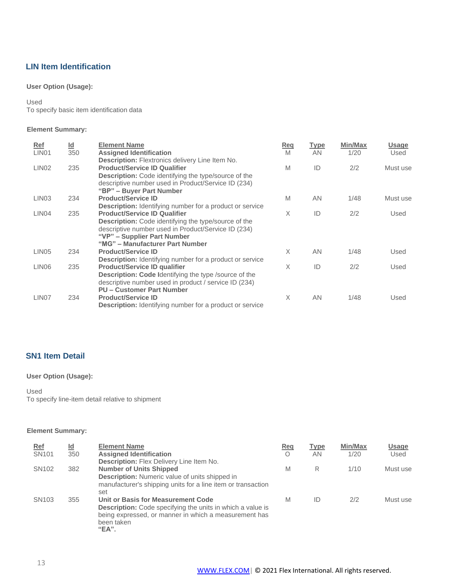# <span id="page-12-0"></span>**LIN Item Identification**

# **User Option (Usage):**

Used

To specify basic item identification data

### **Element Summary:**

| Ref               | $\underline{\mathsf{Id}}$ | <b>Element Name</b>                                                                                                   | Req      | <b>Type</b> | Min/Max | <b>Usage</b> |
|-------------------|---------------------------|-----------------------------------------------------------------------------------------------------------------------|----------|-------------|---------|--------------|
| LIN <sub>01</sub> | 350                       | <b>Assigned Identification</b><br><b>Description:</b> Flextronics delivery Line Item No.                              | M        | <b>AN</b>   | 1/20    | Used         |
| LIN <sub>02</sub> | 235                       | <b>Product/Service ID Qualifier</b>                                                                                   | M        | ID          | 2/2     | Must use     |
|                   |                           | <b>Description:</b> Code identifying the type/source of the                                                           |          |             |         |              |
|                   |                           | descriptive number used in Product/Service ID (234)<br>"BP" – Buyer Part Number                                       |          |             |         |              |
| LIN <sub>03</sub> | 234                       | <b>Product/Service ID</b>                                                                                             | M        | AN          | 1/48    | Must use     |
|                   |                           | <b>Description:</b> Identifying number for a product or service                                                       |          |             |         |              |
| LIN <sub>04</sub> | 235                       | <b>Product/Service ID Qualifier</b>                                                                                   | $\times$ | ID          | 2/2     | Used         |
|                   |                           | Description: Code identifying the type/source of the<br>descriptive number used in Product/Service ID (234)           |          |             |         |              |
|                   |                           | "VP" – Supplier Part Number                                                                                           |          |             |         |              |
|                   |                           | "MG" - Manufacturer Part Number                                                                                       |          |             |         |              |
| LIN <sub>05</sub> | 234                       | <b>Product/Service ID</b>                                                                                             | X        | AN          | 1/48    | Used         |
|                   |                           | <b>Description:</b> Identifying number for a product or service                                                       |          |             |         |              |
| LIN <sub>06</sub> | 235                       | <b>Product/Service ID qualifier</b>                                                                                   | X        | ID          | 2/2     | Used         |
|                   |                           | <b>Description: Code Identifying the type /source of the</b><br>descriptive number used in product / service ID (234) |          |             |         |              |
|                   |                           | <b>PU - Customer Part Number</b>                                                                                      |          |             |         |              |
| LIN <sub>07</sub> | 234                       | <b>Product/Service ID</b>                                                                                             | X        | AN          | 1/48    | Used         |
|                   |                           | <b>Description:</b> Identifying number for a product or service                                                       |          |             |         |              |
|                   |                           |                                                                                                                       |          |             |         |              |

# <span id="page-12-1"></span>**SN1 Item Detail**

# **User Option (Usage):**

Used

To specify line-item detail relative to shipment

| <b>Ref</b>        | $\underline{\mathsf{Id}}$ | <b>Element Name</b>                                                 | Req     | Type | Min/Max | <b>Usage</b> |
|-------------------|---------------------------|---------------------------------------------------------------------|---------|------|---------|--------------|
| SN <sub>101</sub> | 350                       | <b>Assigned Identification</b>                                      | $\circ$ | ΑN   | 1/20    | Used         |
|                   |                           | <b>Description:</b> Flex Delivery Line Item No.                     |         |      |         |              |
| SN <sub>102</sub> | 382                       | <b>Number of Units Shipped</b>                                      | M       | R    | 1/10    | Must use     |
|                   |                           | <b>Description:</b> Numeric value of units shipped in               |         |      |         |              |
|                   |                           | manufacturer's shipping units for a line item or transaction<br>set |         |      |         |              |
| SN <sub>103</sub> | 355                       | Unit or Basis for Measurement Code                                  | M       | ID   | 2/2     | Must use     |
|                   |                           | <b>Description:</b> Code specifying the units in which a value is   |         |      |         |              |
|                   |                           | being expressed, or manner in which a measurement has               |         |      |         |              |
|                   |                           | been taken                                                          |         |      |         |              |
|                   |                           | "EA".                                                               |         |      |         |              |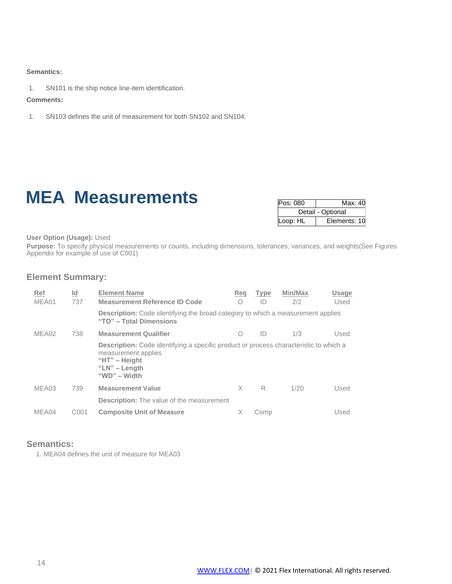#### **Semantics:**

1. SN101 is the ship notice line-item identification.

#### **Comments:**

1. SN103 defines the unit of measurement for both SN102 and SN104.

# **MEA Measurements**

| Pos: 080 | Max: 40           |
|----------|-------------------|
|          | Detail - Optional |
| Loop: HL | Elements: 10      |

**User Option (Usage):** Used

**Purpose:** To specify physical measurements or counts, including dimensions, tolerances, variances, and weights(See Figures Appendix for example of use of C001)

# **Element Summary:**

| Ref<br>MEA01 | Id<br>737        | <b>Element Name</b><br><b>Measurement Reference ID Code</b>                                                                                                                 | Reg<br>O   | <b>Type</b><br>ID | Min/Max<br>2/2 | Usage<br>Used |
|--------------|------------------|-----------------------------------------------------------------------------------------------------------------------------------------------------------------------------|------------|-------------------|----------------|---------------|
|              |                  | <b>Description:</b> Code identifying the broad category to which a measurement applies<br>"TO" - Total Dimensions                                                           |            |                   |                |               |
| MEA02        | 738              | <b>Measurement Qualifier</b>                                                                                                                                                | $\bigcirc$ | ID                | 1/3            | Used          |
|              |                  | <b>Description:</b> Code identifying a specific product or process characteristic to which a<br>measurement applies<br>"HT" $-$ Height<br>"LN" $-$ Length<br>"WD" $-$ Width |            |                   |                |               |
| MEA03        | 739              | <b>Measurement Value</b>                                                                                                                                                    | X          | R                 | 1/20           | Used          |
|              |                  | <b>Description:</b> The value of the measurement                                                                                                                            |            |                   |                |               |
| MEA04        | C <sub>001</sub> | <b>Composite Unit of Measure</b>                                                                                                                                            |            | Comp              |                | Used          |

# **Semantics:**

1. MEA04 defines the unit of measure for MEA03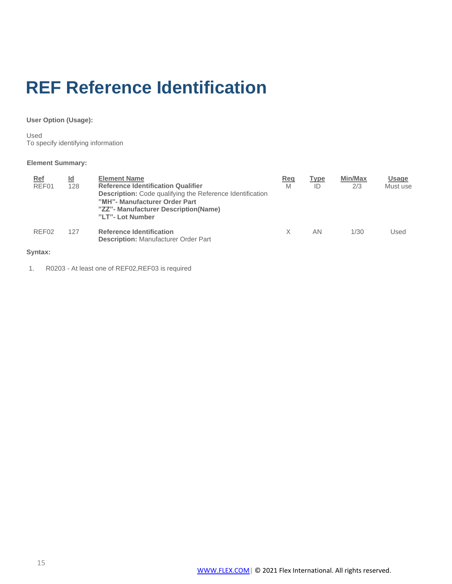# <span id="page-14-0"></span>**REF Reference Identification**

# **User Option (Usage):**

Used To specify identifying information

# **Element Summary:**

| $Ref$<br>REF01    | Id<br>128 | <b>Element Name</b><br><b>Reference Identification Qualifier</b><br>Description: Code qualifying the Reference Identification<br>"MH"- Manufacturer Order Part<br>"ZZ"- Manufacturer Description(Name)<br>"LT"- Lot Number | Reg<br>M | <b>Type</b><br>ID | Min/Max<br>2/3 | <b>Usage</b><br>Must use |
|-------------------|-----------|----------------------------------------------------------------------------------------------------------------------------------------------------------------------------------------------------------------------------|----------|-------------------|----------------|--------------------------|
| REF <sub>02</sub> | 127       | <b>Reference Identification</b><br><b>Description: Manufacturer Order Part</b>                                                                                                                                             | Χ        | ΑN                | 1/30           | Used                     |
|                   |           |                                                                                                                                                                                                                            |          |                   |                |                          |

# **Syntax:**

1. R0203 - At least one of REF02,REF03 is required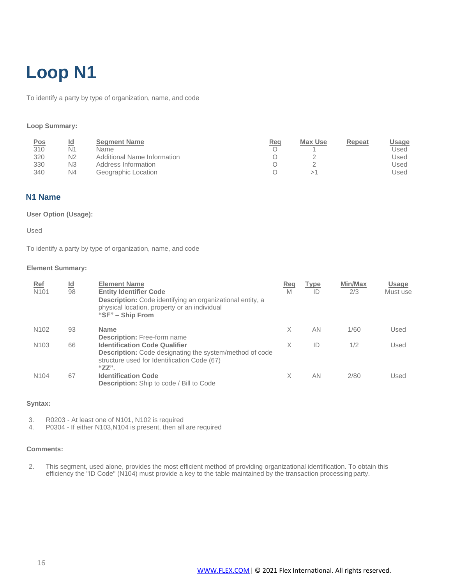# **Loop N1**

To identify a party by type of organization, name, and code

#### **Loop Summary:**

| <b>Pos</b> | <u>ld</u>      | <b>Segment Name</b>         | Req | Max Use | Repeat | <u>Usage</u> |
|------------|----------------|-----------------------------|-----|---------|--------|--------------|
| 310        | N1             | <b>Name</b>                 |     |         |        | Used         |
| 320        | N <sub>2</sub> | Additional Name Information |     |         |        | Jsed         |
| 330        | N <sub>3</sub> | Address Information         |     |         |        | Used         |
| 340        | N <sub>4</sub> | Geographic Location         |     |         |        | Used         |

# **N1 Name**

## **User Option (Usage):**

Used

To identify a party by type of organization, name, and code

#### **Element Summary:**

| <u>Ref</u><br>N <sub>101</sub> | $\underline{\mathsf{Id}}$<br>98 | <b>Element Name</b><br><b>Entity Identifier Code</b><br><b>Description:</b> Code identifying an organizational entity, a<br>physical location, property or an individual<br>"SF" – Ship From | Req<br>M | Type<br>ID | Min/Max<br>2/3 | Usage<br>Must use |
|--------------------------------|---------------------------------|----------------------------------------------------------------------------------------------------------------------------------------------------------------------------------------------|----------|------------|----------------|-------------------|
| N <sub>102</sub>               | 93                              | <b>Name</b><br><b>Description:</b> Free-form name                                                                                                                                            | X        | AN         | 1/60           | Used              |
| N <sub>103</sub>               | 66                              | <b>Identification Code Qualifier</b><br><b>Description:</b> Code designating the system/method of code<br>structure used for Identification Code (67)<br>$"ZZ"$ .                            | X        | ID         | 1/2            | Used              |
| N <sub>104</sub>               | 67                              | <b>Identification Code</b><br><b>Description:</b> Ship to code / Bill to Code                                                                                                                | X        | AN         | 2/80           | Used              |

# **Syntax:**

3. R0203 - At least one of N101, N102 is required

4. P0304 - If either N103,N104 is present, then all are required

#### **Comments:**

2. This segment, used alone, provides the most efficient method of providing organizational identification. To obtain this efficiency the "ID Code" (N104) must provide a key to the table maintained by the transaction processing party.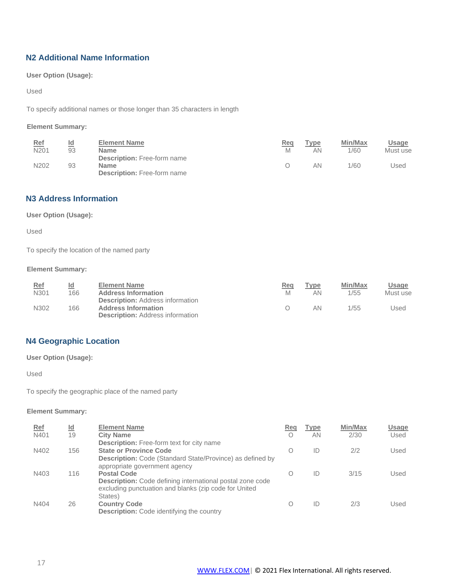# **N2 Additional Name Information**

**User Option (Usage):**

Used

To specify additional names or those longer than 35 characters in length

# **Element Summary:**

| <u>Ref</u> | ld | <b>Element Name</b>                               | Req | Type | Min/Max | Usage    |
|------------|----|---------------------------------------------------|-----|------|---------|----------|
| N201       | 93 | <b>Name</b>                                       | M   | ΑN   | 1/60    | Must use |
| N202       | 93 | <b>Description:</b> Free-form name<br><b>Name</b> |     | ΑN   | 1/60    | Used     |
|            |    | <b>Description:</b> Free-form name                |     |      |         |          |

# **N3 Address Information**

# **User Option (Usage):**

Used

To specify the location of the named party

# **Element Summary:**

| Ref  | <u>ld</u> | <b>Element Name</b>                                                                                              | <b>Req</b> | Гуре | Min/Max | Usage    |
|------|-----------|------------------------------------------------------------------------------------------------------------------|------------|------|---------|----------|
| N301 | 166       | <b>Address Information</b>                                                                                       | M          | ΑN   | 1/55    | Must use |
| N302 | 166       | <b>Description:</b> Address information<br><b>Address Information</b><br><b>Description: Address information</b> |            | ΑN   | 1/55    | Used     |

# **N4 Geographic Location**

**User Option (Usage):**

Used

To specify the geographic place of the named party

| Ref<br>N401 | $\underline{\mathsf{Id}}$<br>19 | <b>Element Name</b><br><b>City Name</b>                                                                                                                                              | Reg | Type<br>ΑN | Min/Max<br>2/30 | Usage<br>Used |
|-------------|---------------------------------|--------------------------------------------------------------------------------------------------------------------------------------------------------------------------------------|-----|------------|-----------------|---------------|
| N402        | 156                             | <b>Description:</b> Free-form text for city name<br><b>State or Province Code</b>                                                                                                    | O   | ID         | 2/2             | Used          |
| N403        | 116                             | Description: Code (Standard State/Province) as defined by<br>appropriate government agency<br><b>Postal Code</b><br><b>Description:</b> Code defining international postal zone code | ( ) | ID         | 3/15            | Used          |
| N404        | 26                              | excluding punctuation and blanks (zip code for United<br>States)<br><b>Country Code</b><br><b>Description:</b> Code identifying the country                                          |     | ID         | 2/3             | Used          |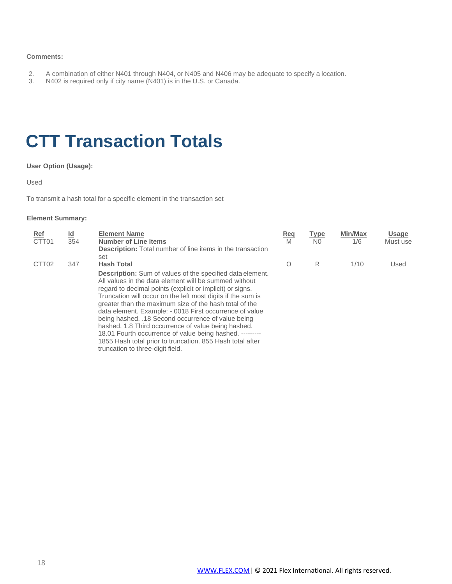#### <span id="page-17-1"></span>**Comments:**

- 2. A combination of either N401 through N404, or N405 and N406 may be adequate to specify a location.<br>3. N402 is required only if city name (N401) is in the U.S. or Canada.
- N402 is required only if city name (N401) is in the U.S. or Canada.

# <span id="page-17-0"></span>**CTT Transaction Totals**

# **User Option (Usage):**

Used

To transmit a hash total for a specific element in the transaction set

| Ref               | <u>ld</u> | <b>Element Name</b>                                               | Req | <b>Type</b>    | Min/Max | <b>Usage</b> |
|-------------------|-----------|-------------------------------------------------------------------|-----|----------------|---------|--------------|
| CTT <sub>01</sub> | 354       | <b>Number of Line Items</b>                                       | M   | N <sub>0</sub> | 1/6     | Must use     |
|                   |           | <b>Description:</b> Total number of line items in the transaction |     |                |         |              |
|                   |           | set                                                               |     |                |         |              |
| CTT <sub>02</sub> | 347       | <b>Hash Total</b>                                                 | Ο   | R              | 1/10    | Used         |
|                   |           | <b>Description:</b> Sum of values of the specified data element.  |     |                |         |              |
|                   |           | All values in the data element will be summed without             |     |                |         |              |
|                   |           | regard to decimal points (explicit or implicit) or signs.         |     |                |         |              |
|                   |           | Truncation will occur on the left most digits if the sum is       |     |                |         |              |
|                   |           | greater than the maximum size of the hash total of the            |     |                |         |              |
|                   |           | data element. Example: -.0018 First occurrence of value           |     |                |         |              |
|                   |           | being hashed. .18 Second occurrence of value being                |     |                |         |              |
|                   |           | hashed. 1.8 Third occurrence of value being hashed.               |     |                |         |              |
|                   |           | 18.01 Fourth occurrence of value being hashed. ---------          |     |                |         |              |
|                   |           | 1855 Hash total prior to truncation. 855 Hash total after         |     |                |         |              |
|                   |           | truncation to three-digit field.                                  |     |                |         |              |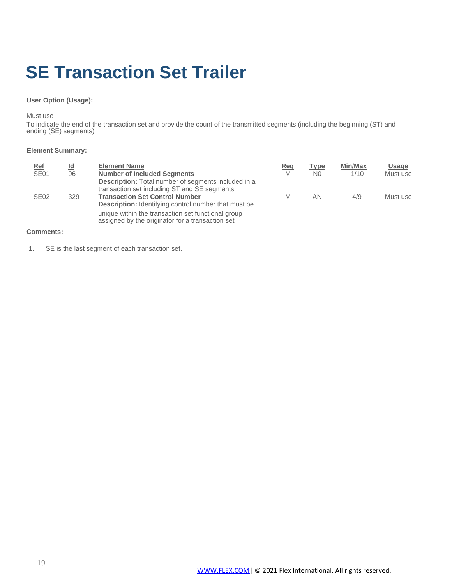# **SE Transaction Set Trailer**

### **User Option (Usage):**

Must use

To indicate the end of the transaction set and provide the count of the transmitted segments (including the beginning (ST) and ending (SE) segments)

#### **Element Summary:**

| <b>Ref</b><br><b>SE01</b> | <u>ld</u><br>96 | <b>Element Name</b><br><b>Number of Included Segments</b><br><b>Description:</b> Total number of segments included in a                              | <u>Req</u><br>M | Type<br>N <sub>0</sub> | <b>Min/Max</b><br>1/10 | <b>Usage</b><br>Must use |
|---------------------------|-----------------|------------------------------------------------------------------------------------------------------------------------------------------------------|-----------------|------------------------|------------------------|--------------------------|
| SE <sub>02</sub>          | 329             | transaction set including ST and SE segments<br><b>Transaction Set Control Number</b><br><b>Description:</b> Identifying control number that must be | M               | ΑN                     | 4/9                    | Must use                 |
|                           |                 | unique within the transaction set functional group<br>assigned by the originator for a transaction set                                               |                 |                        |                        |                          |

#### **Comments:**

1. SE is the last segment of each transaction set.